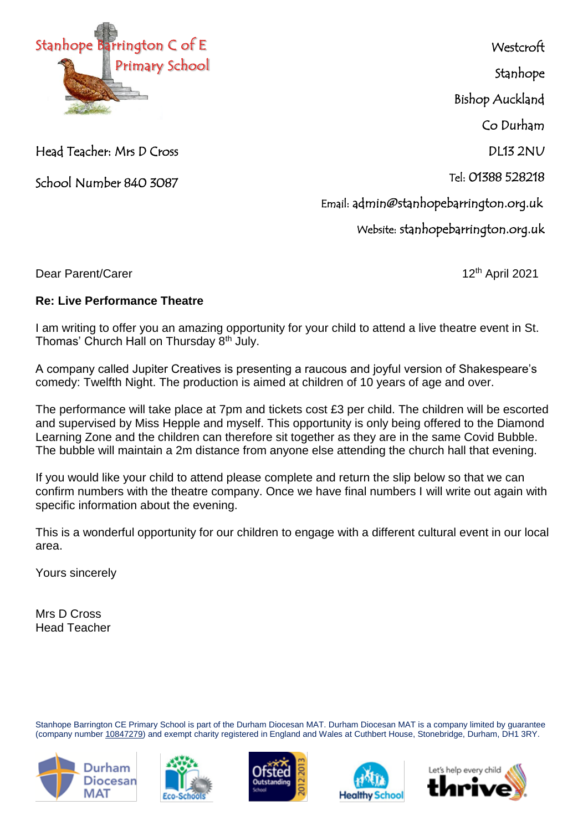

Head Teacher: Mrs D Cross

School Number 840 3087

**Westcroft** Stanhope

Bishop Auckland

Co Durham

DL13 2NU

Tel: 01388 528218

Email: admin@stanhopebarrington.org.uk

Website: stanhopebarrington.org.uk

Dear Parent/Carer 12th April 2021

## **Re: Live Performance Theatre**

I am writing to offer you an amazing opportunity for your child to attend a live theatre event in St. Thomas' Church Hall on Thursday 8th July.

A company called Jupiter Creatives is presenting a raucous and joyful version of Shakespeare's comedy: Twelfth Night. The production is aimed at children of 10 years of age and over.

The performance will take place at 7pm and tickets cost £3 per child. The children will be escorted and supervised by Miss Hepple and myself. This opportunity is only being offered to the Diamond Learning Zone and the children can therefore sit together as they are in the same Covid Bubble. The bubble will maintain a 2m distance from anyone else attending the church hall that evening.

If you would like your child to attend please complete and return the slip below so that we can confirm numbers with the theatre company. Once we have final numbers I will write out again with specific information about the evening.

This is a wonderful opportunity for our children to engage with a different cultural event in our local area.

Yours sincerely

Mrs D Cross Head Teacher

Stanhope Barrington CE Primary School is part of the Durham Diocesan MAT. Durham Diocesan MAT is a company limited by guarantee (company number [10847279\)](tel:10847279) and exempt charity registered in England and Wales at Cuthbert House, Stonebridge, Durham, DH1 3RY.